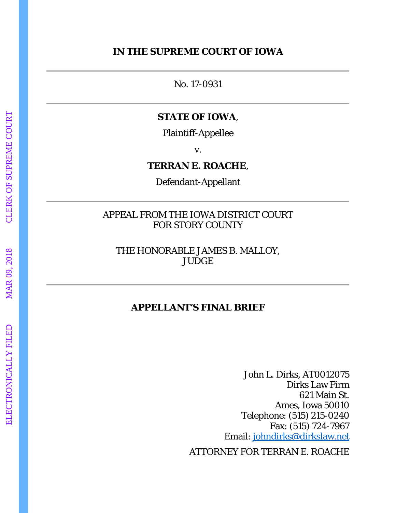## **IN THE SUPREME COURT OF IOWA**

No. 17-0931

### **STATE OF IOWA** ,

Plaintiff-Appellee

v.

#### **TERRAN E. ROACHE** ,

Defendant-Appellant

## APPEAL FROM THE IOWA DISTRICT COURT FOR STORY COUNTY

THE HONORABLE JAMES B. MALLOY, **JUDGE** 

# **APPELLANT'S FINAL BRIEF**

John L. Dirks, AT0012075 Dirks Law Firm 621 Main St. Ames, Iowa 50010 Telephone: (515) 215-0240 Fax: (515) 724-7967 Email: [johndirks@dirkslaw.net](mailto:dirkslaw@iabar.org)

ATTORNEY FOR TERRAN E. ROACHE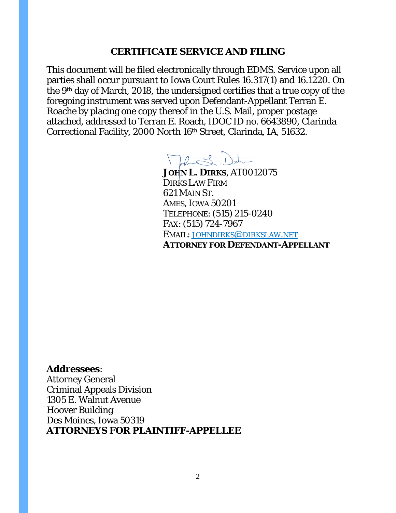### **CERTIFICATE SERVICE AND FILING**

This document will be filed electronically through EDMS. Service upon all parties shall occur pursuant to Iowa Court Rules 16.317(1) and 16.1220. On the 9th day of March, 2018, the undersigned certifies that a true copy of the foregoing instrument was served upon Defendant-Appellant Terran E. Roache by placing one copy thereof in the U.S. Mail, proper postage attached, addressed to Terran E. Roach, IDOC ID no. 6643890, Clarinda Correctional Facility, 2000 North 16th Street, Clarinda, IA, 51632.

Tohne S. Date

**JOHN L. DIRKS**, AT0012075 DIRKS LAW FIRM 621 MAIN ST. AMES, IOWA 50201 TELEPHONE: (515) 215-0240 FAX: (515) 724-7967 EMAIL: JOHNDIRKS@DIRKSLAW.NET **ATTORNEY FOR DEFENDANT-APPELLANT**

**Addressees**:

Attorney General Criminal Appeals Division 1305 E. Walnut Avenue Hoover Building Des Moines, Iowa 50319 **ATTORNEYS FOR PLAINTIFF-APPELLEE**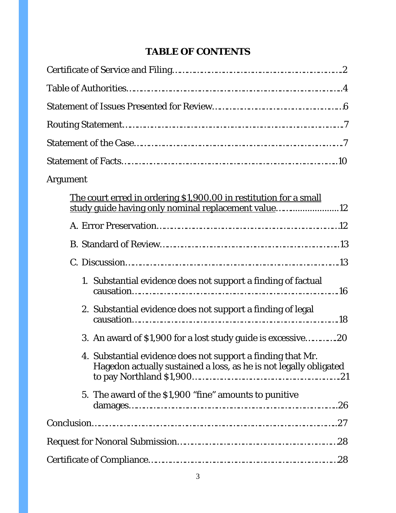# **TABLE OF CONTENTS**

| Argument                                                                                                                         |
|----------------------------------------------------------------------------------------------------------------------------------|
| The court erred in ordering \$1,900.00 in restitution for a small<br>study guide having only nominal replacement value12         |
|                                                                                                                                  |
|                                                                                                                                  |
|                                                                                                                                  |
| 1. Substantial evidence does not support a finding of factual                                                                    |
| 2. Substantial evidence does not support a finding of legal                                                                      |
| 3. An award of \$1,900 for a lost study guide is excessive20                                                                     |
| 4. Substantial evidence does not support a finding that Mr.<br>Hagedon actually sustained a loss, as he is not legally obligated |
| 5. The award of the \$1,900 "fine" amounts to punitive                                                                           |
|                                                                                                                                  |
|                                                                                                                                  |
|                                                                                                                                  |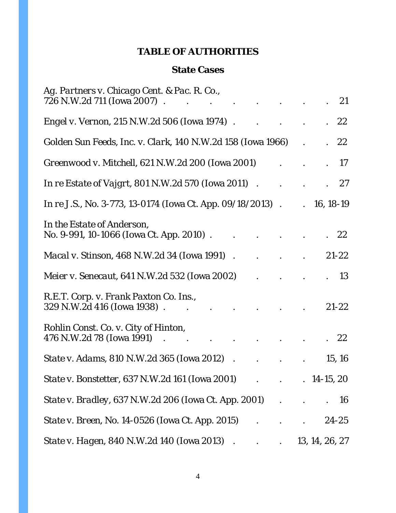## **TABLE OF AUTHORITIES**

## **State Cases**

| Ag. Partners v. Chicago Cent. & Pac. R. Co.,<br>726 N.W.2d 711 (Iowa 2007). |                      | . 21           |           |
|-----------------------------------------------------------------------------|----------------------|----------------|-----------|
| <i>Engel v. Vernon, 215 N.W.2d 506 (Iowa 1974).</i>                         |                      | . 22           |           |
| Golden Sun Feeds, Inc. v. Clark, 140 N.W.2d 158 (Iowa 1966)                 |                      | . 22           |           |
| Greenwood v. Mitchell, 621 N.W.2d 200 (Iowa 2001)                           |                      | - 17           |           |
| <i>In re Estate of Vajgrt, 801 N.W.2d 570 (Iowa 2011)</i>                   |                      | 27             |           |
| <i>In re J.S.</i> , No. 3-773, 13-0174 (Iowa Ct. App. 09/18/2013).          | $\ddot{\phantom{0}}$ | $16, 18-19$    |           |
| In the Estate of Anderson,<br>No. 9-991, 10-1066 (Iowa Ct. App. 2010).      |                      | 22             |           |
| <i>Macal v. Stinson</i> , 468 N.W.2d 34 (Iowa 1991).                        |                      | $21 - 22$      |           |
| <i>Meier v. Senecaut, 641 N.W.2d 532 (Iowa 2002)</i>                        |                      |                | 13        |
| R.E.T. Corp. v. Frank Paxton Co. Ins.,<br>329 N.W.2d 416 (Iowa 1938).       |                      | $21 - 22$      |           |
| Rohlin Const. Co. v. City of Hinton,<br>476 N.W.2d 78 (Iowa 1991)           |                      |                | 22        |
| <i>State v. Adams, 810 N.W.2d 365 (Iowa 2012).</i>                          |                      | 15, 16         |           |
| State v. Bonstetter, 637 N.W.2d 161 (Iowa 2001) 14-15, 20                   |                      |                |           |
|                                                                             |                      |                | <b>16</b> |
| <i>State v. Breen, No.</i> 14-0526 (Iowa Ct. App. 2015) 24-25               |                      |                |           |
|                                                                             |                      | 13, 14, 26, 27 |           |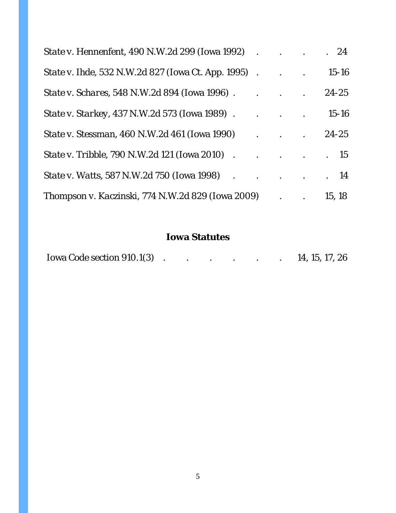|                                                            |                                                           | . 24      |
|------------------------------------------------------------|-----------------------------------------------------------|-----------|
| <i>State v. Ihde</i> , 532 N.W.2d 827 (Iowa Ct. App. 1995) |                                                           | $15 - 16$ |
|                                                            |                                                           | $24 - 25$ |
|                                                            |                                                           | $15 - 16$ |
| <i>State v. Stessman,</i> 460 N.W.2d 461 (Iowa 1990)       |                                                           | $. 24-25$ |
| <i>State v. Tribble, 790 N.W.2d 121 (Iowa 2010) 15</i>     |                                                           |           |
| <i>State v. Watts</i> , 587 N.W.2d 750 (Iowa 1998) 14      |                                                           |           |
| Thompson v. Kaczinski, 774 N.W.2d 829 (Iowa 2009)          | $\mathbf{r}$ , $\mathbf{r}$ , $\mathbf{r}$ , $\mathbf{r}$ | 15, 18    |

# **Iowa Statutes**

| Iowa Code section 910.1(3) |  |  |  |  |  |  | 14, 15, 17, 26 |
|----------------------------|--|--|--|--|--|--|----------------|
|----------------------------|--|--|--|--|--|--|----------------|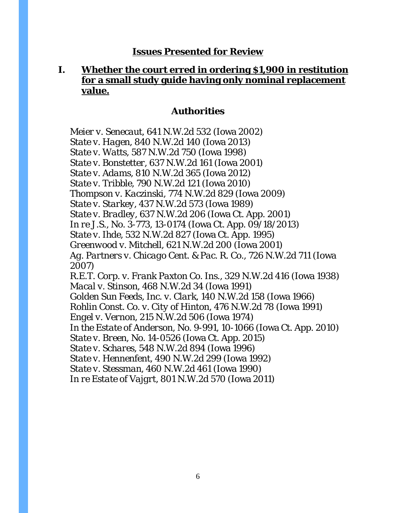#### **Issues Presented for Review**

## **I. Whether the court erred in ordering \$1,900 in restitution for a small study guide having only nominal replacement value.**

### **Authorities**

*Meier v. Senecaut*, 641 N.W.2d 532 (Iowa 2002) *State v. Hagen*, 840 N.W.2d 140 (Iowa 2013) *State v. Watts*, 587 N.W.2d 750 (Iowa 1998) *State v. Bonstetter*, 637 N.W.2d 161 (Iowa 2001) *State v. Adams*, 810 N.W.2d 365 (Iowa 2012) *State v. Tribble*, 790 N.W.2d 121 (Iowa 2010) *Thompson v. Kaczinski*, 774 N.W.2d 829 (Iowa 2009) *State v. Starkey*, 437 N.W.2d 573 (Iowa 1989) *State v. Bradley*, 637 N.W.2d 206 (Iowa Ct. App. 2001) *In re J.S.*, No. 3-773, 13-0174 (Iowa Ct. App. 09/18/2013) *State v. Ihde*, 532 N.W.2d 827 (Iowa Ct. App. 1995) *Greenwood v. Mitchell*, 621 N.W.2d 200 (Iowa 2001) *Ag. Partners v. Chicago Cent. & Pac. R. Co.*, 726 N.W.2d 711 (Iowa 2007) *R.E.T. Corp. v. Frank Paxton Co. Ins*., 329 N.W.2d 416 (Iowa 1938) *Macal v. Stinson*, 468 N.W.2d 34 (Iowa 1991) *Golden Sun Feeds, Inc. v. Clark*, 140 N.W.2d 158 (Iowa 1966) *Rohlin Const. Co. v. City of Hinton*, 476 N.W.2d 78 (Iowa 1991) *Engel v. Vernon*, 215 N.W.2d 506 (Iowa 1974) *In the Estate of Anderson*, No. 9-991, 10-1066 (Iowa Ct. App. 2010) *State v. Breen*, No. 14-0526 (Iowa Ct. App. 2015) *State v. Schares*, 548 N.W.2d 894 (Iowa 1996) *State v. Hennenfent*, 490 N.W.2d 299 (Iowa 1992) *State v. Stessman*, 460 N.W.2d 461 (Iowa 1990) *In re Estate of Vajgrt*, 801 N.W.2d 570 (Iowa 2011)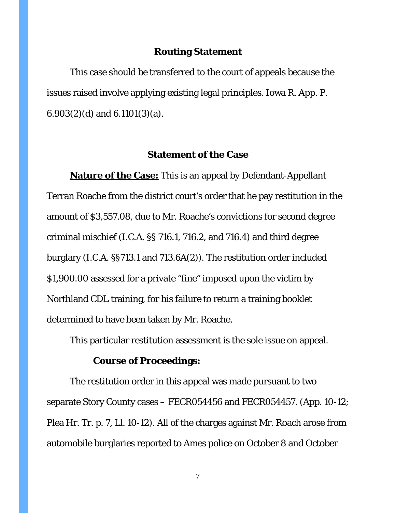#### **Routing Statement**

This case should be transferred to the court of appeals because the issues raised involve applying existing legal principles. Iowa R. App. P.  $6.903(2)(d)$  and  $6.1101(3)(a)$ .

### **Statement of the Case**

**Nature of the Case:** This is an appeal by Defendant-Appellant Terran Roache from the district court's order that he pay restitution in the amount of \$3,557.08, due to Mr. Roache's convictions for second degree criminal mischief (I.C.A. §§ 716.1, 716.2, and 716.4) and third degree burglary (I.C.A. §§713.1 and 713.6A(2)). The restitution order included \$1,900.00 assessed for a private "fine" imposed upon the victim by Northland CDL training, for his failure to return a training booklet determined to have been taken by Mr. Roache.

This particular restitution assessment is the sole issue on appeal.

## **Course of Proceedings:**

The restitution order in this appeal was made pursuant to two separate Story County cases – FECR054456 and FECR054457. (App. 10-12; Plea Hr. Tr. p. 7, Ll. 10-12). All of the charges against Mr. Roach arose from automobile burglaries reported to Ames police on October 8 and October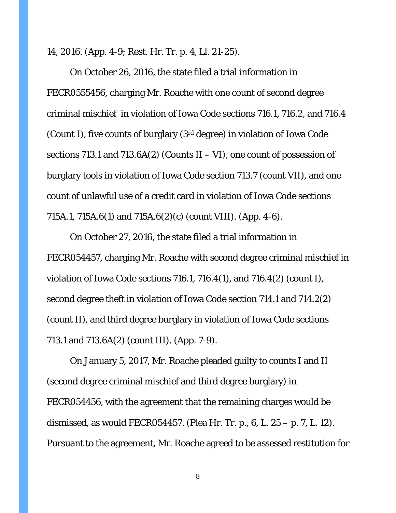14, 2016. (App. 4-9; Rest. Hr. Tr. p. 4, Ll. 21-25).

On October 26, 2016, the state filed a trial information in FECR0555456, charging Mr. Roache with one count of second degree criminal mischief in violation of Iowa Code sections 716.1, 716.2, and 716.4 (Count I), five counts of burglary (3rd degree) in violation of Iowa Code sections 713.1 and 713.6A(2) (Counts  $II - VI$ ), one count of possession of burglary tools in violation of Iowa Code section 713.7 (count VII), and one count of unlawful use of a credit card in violation of Iowa Code sections 715A.1, 715A.6(1) and 715A.6(2)(c) (count VIII). (App. 4-6).

On October 27, 2016, the state filed a trial information in FECR054457, charging Mr. Roache with second degree criminal mischief in violation of Iowa Code sections 716.1, 716.4(1), and 716.4(2) (count I), second degree theft in violation of Iowa Code section 714.1 and 714.2(2) (count II), and third degree burglary in violation of Iowa Code sections 713.1 and 713.6A(2) (count III). (App. 7-9).

On January 5, 2017, Mr. Roache pleaded guilty to counts I and II (second degree criminal mischief and third degree burglary) in FECR054456, with the agreement that the remaining charges would be dismissed, as would FECR054457. (Plea Hr. Tr. p., 6, L. 25 – p. 7, L. 12). Pursuant to the agreement, Mr. Roache agreed to be assessed restitution for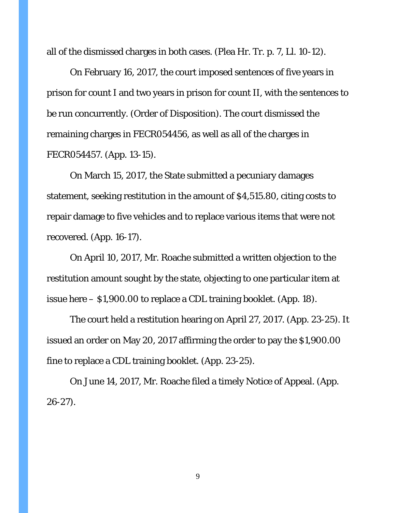all of the dismissed charges in both cases. (Plea Hr. Tr. p. 7, Ll. 10-12).

On February 16, 2017, the court imposed sentences of five years in prison for count I and two years in prison for count II, with the sentences to be run concurrently. (Order of Disposition). The court dismissed the remaining charges in FECR054456, as well as all of the charges in FECR054457. (App. 13-15).

On March 15, 2017, the State submitted a pecuniary damages statement, seeking restitution in the amount of \$4,515.80, citing costs to repair damage to five vehicles and to replace various items that were not recovered. (App. 16-17).

On April 10, 2017, Mr. Roache submitted a written objection to the restitution amount sought by the state, objecting to one particular item at issue here – \$1,900.00 to replace a CDL training booklet. (App. 18).

The court held a restitution hearing on April 27, 2017. (App. 23-25). It issued an order on May 20, 2017 affirming the order to pay the \$1,900.00 fine to replace a CDL training booklet. (App. 23-25).

On June 14, 2017, Mr. Roache filed a timely Notice of Appeal. (App. 26-27).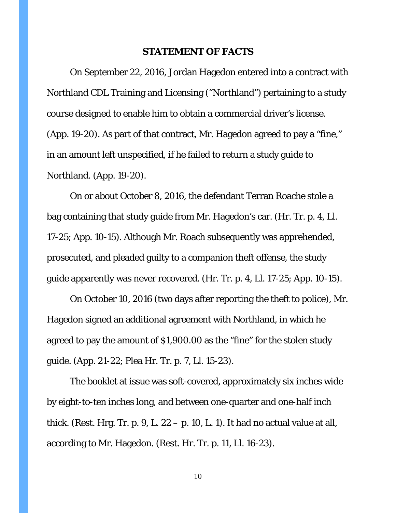#### **STATEMENT OF FACTS**

On September 22, 2016, Jordan Hagedon entered into a contract with Northland CDL Training and Licensing ("Northland") pertaining to a study course designed to enable him to obtain a commercial driver's license. (App. 19-20). As part of that contract, Mr. Hagedon agreed to pay a "fine," in an amount left unspecified, if he failed to return a study guide to Northland. (App. 19-20).

On or about October 8, 2016, the defendant Terran Roache stole a bag containing that study guide from Mr. Hagedon's car. (Hr. Tr. p. 4, Ll. 17-25; App. 10-15). Although Mr. Roach subsequently was apprehended, prosecuted, and pleaded guilty to a companion theft offense, the study guide apparently was never recovered. (Hr. Tr. p. 4, Ll. 17-25; App. 10-15).

On October 10, 2016 (two days after reporting the theft to police), Mr. Hagedon signed an additional agreement with Northland, in which he agreed to pay the amount of \$1,900.00 as the "fine" for the stolen study guide. (App. 21-22; Plea Hr. Tr. p. 7, Ll. 15-23).

The booklet at issue was soft-covered, approximately six inches wide by eight-to-ten inches long, and between one-quarter and one-half inch thick. (Rest. Hrg. Tr. p. 9, L.  $22 - p$ . 10, L. 1). It had no actual value at all, according to Mr. Hagedon. (Rest. Hr. Tr. p. 11, Ll. 16-23).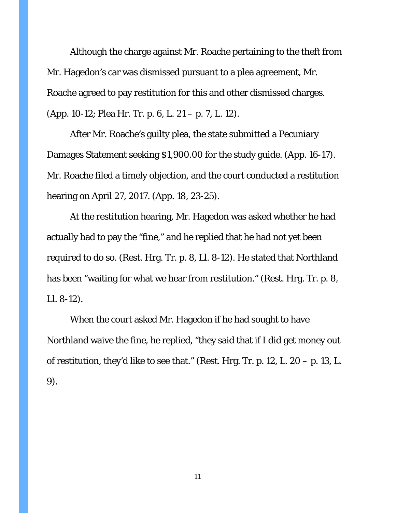Although the charge against Mr. Roache pertaining to the theft from Mr. Hagedon's car was dismissed pursuant to a plea agreement, Mr. Roache agreed to pay restitution for this and other dismissed charges. (App. 10-12; Plea Hr. Tr. p. 6, L. 21 – p. 7, L. 12).

After Mr. Roache's guilty plea, the state submitted a Pecuniary Damages Statement seeking \$1,900.00 for the study guide. (App. 16-17). Mr. Roache filed a timely objection, and the court conducted a restitution hearing on April 27, 2017. (App. 18, 23-25).

At the restitution hearing, Mr. Hagedon was asked whether he had actually had to pay the "fine," and he replied that he had not yet been required to do so. (Rest. Hrg. Tr. p. 8, Ll. 8-12). He stated that Northland has been "waiting for what we hear from restitution." (Rest. Hrg. Tr. p. 8, Ll. 8-12).

When the court asked Mr. Hagedon if he had sought to have Northland waive the fine, he replied, "they said that if I did get money out of restitution, they'd like to see that." (Rest. Hrg. Tr. p. 12, L.  $20 - p$ . 13, L. 9).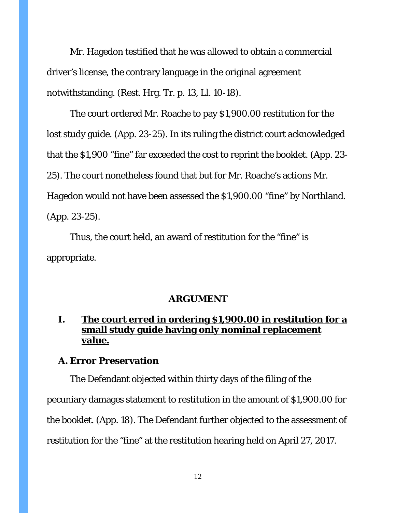Mr. Hagedon testified that he was allowed to obtain a commercial driver's license, the contrary language in the original agreement notwithstanding. (Rest. Hrg. Tr. p. 13, Ll. 10-18).

The court ordered Mr. Roache to pay \$1,900.00 restitution for the lost study guide. (App. 23-25). In its ruling the district court acknowledged that the \$1,900 "fine" far exceeded the cost to reprint the booklet. (App. 23- 25). The court nonetheless found that but for Mr. Roache's actions Mr. Hagedon would not have been assessed the \$1,900.00 "fine" by Northland. (App. 23-25).

Thus, the court held, an award of restitution for the "fine" is appropriate.

#### **ARGUMENT**

## **I. The court erred in ordering \$1,900.00 in restitution for a small study guide having only nominal replacement value.**

#### **A. Error Preservation**

The Defendant objected within thirty days of the filing of the pecuniary damages statement to restitution in the amount of \$1,900.00 for the booklet. (App. 18). The Defendant further objected to the assessment of restitution for the "fine" at the restitution hearing held on April 27, 2017.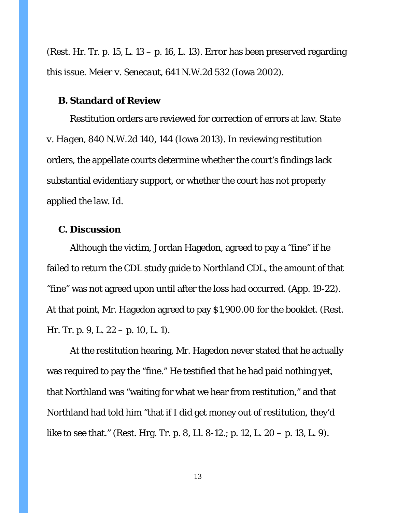(Rest. Hr. Tr. p. 15, L. 13 – p. 16, L. 13). Error has been preserved regarding this issue. *Meier v. Senecaut*, 641 N.W.2d 532 (Iowa 2002).

#### **B. Standard of Review**

Restitution orders are reviewed for correction of errors at law. *State v. Hagen*, 840 N.W.2d 140, 144 (Iowa 2013). In reviewing restitution orders, the appellate courts determine whether the court's findings lack substantial evidentiary support, or whether the court has not properly applied the law. *Id*.

#### **C. Discussion**

Although the victim, Jordan Hagedon, agreed to pay a "fine" if he failed to return the CDL study guide to Northland CDL, the amount of that "fine" was not agreed upon until after the loss had occurred. (App. 19-22). At that point, Mr. Hagedon agreed to pay \$1,900.00 for the booklet. (Rest. Hr. Tr. p. 9, L. 22 – p. 10, L. 1).

At the restitution hearing, Mr. Hagedon never stated that he actually was required to pay the "fine." He testified that he had paid nothing yet, that Northland was "waiting for what we hear from restitution," and that Northland had told him "that if I did get money out of restitution, they'd like to see that." (Rest. Hrg. Tr. p. 8, Ll. 8-12.; p. 12, L. 20 – p. 13, L. 9).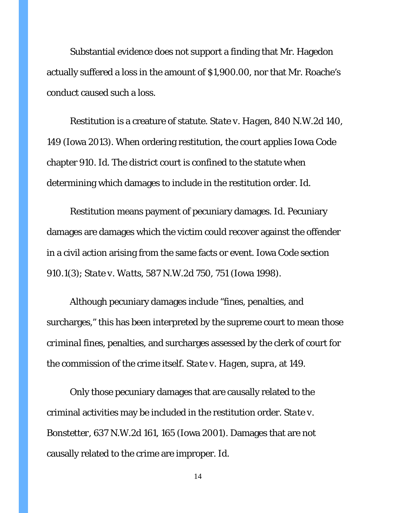Substantial evidence does not support a finding that Mr. Hagedon actually suffered a loss in the amount of \$1,900.00, nor that Mr. Roache's conduct caused such a loss.

Restitution is a creature of statute. *State v. Hagen*, 840 N.W.2d 140, 149 (Iowa 2013). When ordering restitution, the court applies Iowa Code chapter 910. *Id*. The district court is confined to the statute when determining which damages to include in the restitution order. *Id*.

Restitution means payment of pecuniary damages. *Id*. Pecuniary damages are damages which the victim could recover against the offender in a civil action arising from the same facts or event. Iowa Code section 910.1(3); *State v. Watts*, 587 N.W.2d 750, 751 (Iowa 1998).

Although pecuniary damages include "fines, penalties, and surcharges," this has been interpreted by the supreme court to mean those *criminal* fines, penalties, and surcharges assessed by the clerk of court for the commission of the crime itself. *State v. Hagen*, *supra*, at 149.

Only those pecuniary damages that are causally related to the criminal activities may be included in the restitution order. *State v. Bonstetter*, 637 N.W.2d 161, 165 (Iowa 2001). Damages that are not causally related to the crime are improper. *Id*.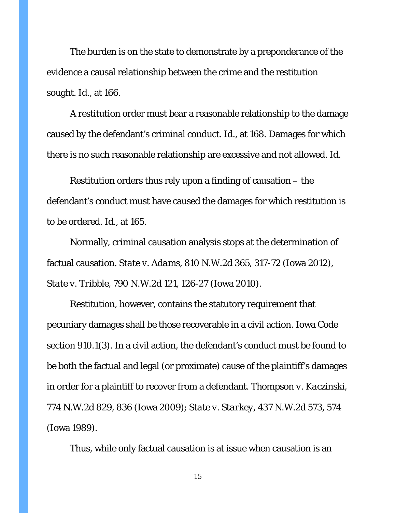The burden is on the state to demonstrate by a preponderance of the evidence a causal relationship between the crime and the restitution sought. *Id*., at 166.

A restitution order must bear a reasonable relationship to the damage caused by the defendant's criminal conduct. *Id*., at 168. Damages for which there is no such reasonable relationship are excessive and not allowed. *Id.*

Restitution orders thus rely upon a finding of causation – the defendant's conduct must have caused the damages for which restitution is to be ordered. *Id*., at 165.

Normally, criminal causation analysis stops at the determination of factual causation. *State v. Adams*, 810 N.W.2d 365, 317-72 (Iowa 2012), *State v. Tribble*, 790 N.W.2d 121, 126-27 (Iowa 2010).

Restitution, however, contains the statutory requirement that pecuniary damages shall be those recoverable in a civil action. Iowa Code section 910.1(3). In a civil action, the defendant's conduct must be found to be both the factual and legal (or proximate) cause of the plaintiff's damages in order for a plaintiff to recover from a defendant. *Thompson v. Kaczinski*, 774 N.W.2d 829, 836 (Iowa 2009); *State v. Starkey*, 437 N.W.2d 573, 574 (Iowa 1989).

Thus, while only factual causation is at issue when causation is an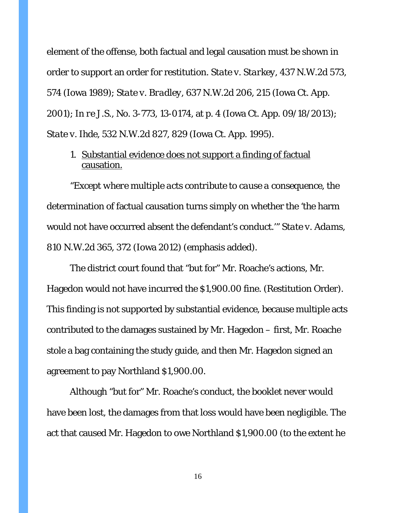element of the offense, both factual and legal causation must be shown in order to support an order for restitution. *State v. Starkey*, 437 N.W.2d 573, 574 (Iowa 1989); *State v. Bradley*, 637 N.W.2d 206, 215 (Iowa Ct. App. 2001); *In re J.S.*, No. 3-773, 13-0174, at p. 4 (Iowa Ct. App. 09/18/2013); *State v. Ihde*, 532 N.W.2d 827, 829 (Iowa Ct. App. 1995).

1. Substantial evidence does not support a finding of factual causation.

"*Except where multiple acts contribute to cause a consequence,* the determination of factual causation turns simply on whether the 'the harm would not have occurred absent the defendant's conduct.'" *State v. Adams*, 810 N.W.2d 365, 372 (Iowa 2012) (emphasis added).

The district court found that "but for" Mr. Roache's actions, Mr. Hagedon would not have incurred the \$1,900.00 fine. (Restitution Order). This finding is not supported by substantial evidence, because multiple acts contributed to the damages sustained by Mr. Hagedon – first, Mr. Roache stole a bag containing the study guide, and then Mr. Hagedon signed an agreement to pay Northland \$1,900.00.

Although "but for" Mr. Roache's conduct, the booklet never would have been lost, the damages from that loss would have been negligible. The act that caused Mr. Hagedon to owe Northland \$1,900.00 (to the extent he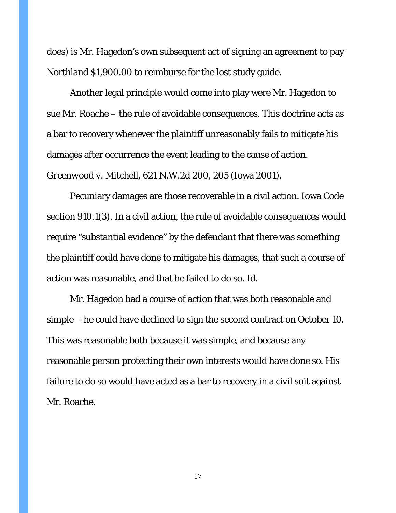does) is Mr. Hagedon's own subsequent act of signing an agreement to pay Northland \$1,900.00 to reimburse for the lost study guide.

Another legal principle would come into play were Mr. Hagedon to sue Mr. Roache – the rule of avoidable consequences. This doctrine acts as a bar to recovery whenever the plaintiff unreasonably fails to mitigate his damages after occurrence the event leading to the cause of action. *Greenwood v. Mitchell*, 621 N.W.2d 200, 205 (Iowa 2001).

Pecuniary damages are those recoverable in a civil action. Iowa Code section 910.1(3). In a civil action, the rule of avoidable consequences would require "substantial evidence" by the defendant that there was something the plaintiff could have done to mitigate his damages, that such a course of action was reasonable, and that he failed to do so. *Id*.

Mr. Hagedon had a course of action that was both reasonable and simple – he could have declined to sign the second contract on October 10. This was reasonable both because it was simple, and because any reasonable person protecting their own interests would have done so. His failure to do so would have acted as a bar to recovery in a civil suit against Mr. Roache.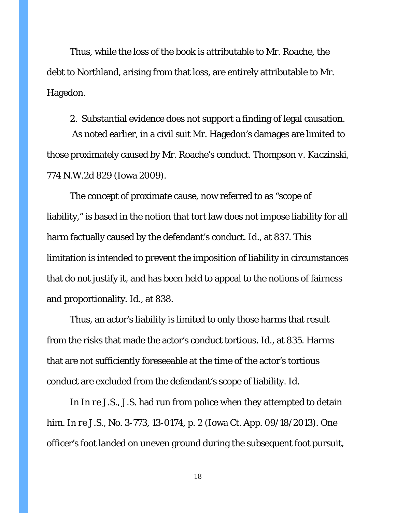Thus, while the loss of the book is attributable to Mr. Roache, the debt to Northland, arising from that loss, are entirely attributable to Mr. Hagedon.

## 2. Substantial evidence does not support a finding of legal causation.

As noted earlier, in a civil suit Mr. Hagedon's damages are limited to those proximately caused by Mr. Roache's conduct. *Thompson v. Kaczinski*, 774 N.W.2d 829 (Iowa 2009).

The concept of proximate cause, now referred to as "scope of liability," is based in the notion that tort law does not impose liability for all harm factually caused by the defendant's conduct. *Id*., at 837. This limitation is intended to prevent the imposition of liability in circumstances that do not justify it, and has been held to appeal to the notions of fairness and proportionality. *Id*., at 838.

Thus, an actor's liability is limited to only those harms that result from the risks that made the actor's conduct tortious. *Id*., at 835. Harms that are not sufficiently foreseeable at the time of the actor's tortious conduct are excluded from the defendant's scope of liability. *Id*.

In *In re J.S.*, J.S. had run from police when they attempted to detain him. *In re J.S.*, No. 3-773, 13-0174, p. 2 (Iowa Ct. App. 09/18/2013). One officer's foot landed on uneven ground during the subsequent foot pursuit,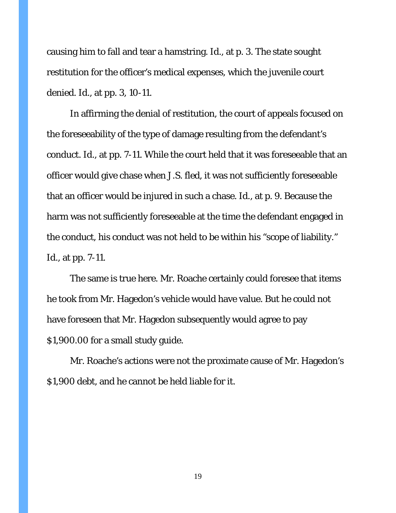causing him to fall and tear a hamstring. *Id*., at p. 3. The state sought restitution for the officer's medical expenses, which the juvenile court denied. *Id*., at pp. 3, 10-11.

In affirming the denial of restitution, the court of appeals focused on the foreseeability of the type of damage resulting from the defendant's conduct. *Id*., at pp. 7-11. While the court held that it was foreseeable that an officer would give chase when J.S. fled, it was not sufficiently foreseeable that an officer would be injured in such a chase. *Id*., at p. 9. Because the harm was not sufficiently foreseeable at the time the defendant engaged in the conduct, his conduct was not held to be within his "scope of liability." *Id*., at pp. 7-11.

The same is true here. Mr. Roache certainly could foresee that items he took from Mr. Hagedon's vehicle would have value. But he could not have foreseen that Mr. Hagedon subsequently would agree to pay \$1,900.00 for a small study guide.

Mr. Roache's actions were not the proximate cause of Mr. Hagedon's \$1,900 debt, and he cannot be held liable for it.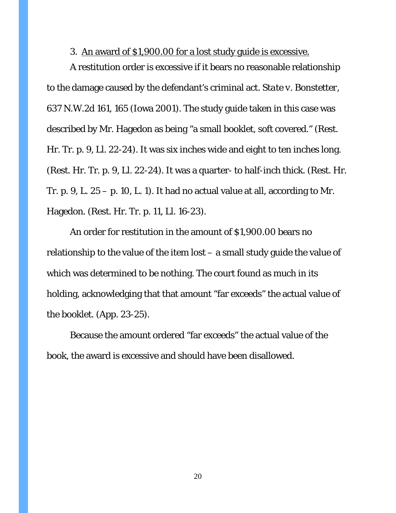#### 3. An award of \$1,900.00 for a lost study guide is excessive.

A restitution order is excessive if it bears no reasonable relationship to the damage caused by the defendant's criminal act. *State v. Bonstetter*, 637 N.W.2d 161, 165 (Iowa 2001). The study guide taken in this case was described by Mr. Hagedon as being "a small booklet, soft covered." (Rest. Hr. Tr. p. 9, Ll. 22-24). It was six inches wide and eight to ten inches long. (Rest. Hr. Tr. p. 9, Ll. 22-24). It was a quarter- to half-inch thick. (Rest. Hr. Tr. p. 9, L.  $25 - p$ . 10, L. 1). It had no actual value at all, according to Mr. Hagedon. (Rest. Hr. Tr. p. 11, Ll. 16-23).

An order for restitution in the amount of \$1,900.00 bears no relationship to the value of the item lost – a small study guide the value of which was determined to be nothing. The court found as much in its holding, acknowledging that that amount "far exceeds" the actual value of the booklet. (App. 23-25).

Because the amount ordered "far exceeds" the actual value of the book, the award is excessive and should have been disallowed.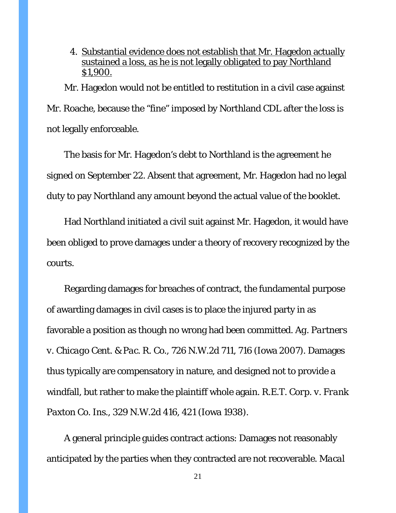4. Substantial evidence does not establish that Mr. Hagedon actually sustained a loss, as he is not legally obligated to pay Northland \$1,900.

Mr. Hagedon would not be entitled to restitution in a civil case against Mr. Roache, because the "fine" imposed by Northland CDL after the loss is not legally enforceable.

The basis for Mr. Hagedon's debt to Northland is the agreement he signed on September 22. Absent that agreement, Mr. Hagedon had no legal duty to pay Northland any amount beyond the actual value of the booklet.

Had Northland initiated a civil suit against Mr. Hagedon, it would have been obliged to prove damages under a theory of recovery recognized by the courts.

Regarding damages for breaches of contract, the fundamental purpose of awarding damages in civil cases is to place the injured party in as favorable a position as though no wrong had been committed. *Ag. Partners v. Chicago Cent. & Pac. R. Co.*, 726 N.W.2d 711, 716 (Iowa 2007). Damages thus typically are compensatory in nature, and designed not to provide a windfall, but rather to make the plaintiff whole again. *R.E.T. Corp. v. Frank Paxton Co. Ins*., 329 N.W.2d 416, 421 (Iowa 1938).

A general principle guides contract actions: Damages not reasonably anticipated by the parties when they contracted are not recoverable. *Macal*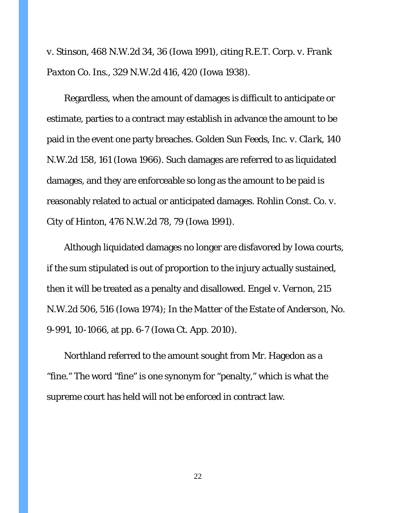*v. Stinson*, 468 N.W.2d 34, 36 (Iowa 1991), citing *R.E.T. Corp. v. Frank Paxton Co. Ins*., 329 N.W.2d 416, 420 (Iowa 1938).

Regardless, when the amount of damages is difficult to anticipate or estimate, parties to a contract may establish in advance the amount to be paid in the event one party breaches. *Golden Sun Feeds, Inc. v. Clark*, 140 N.W.2d 158, 161 (Iowa 1966). Such damages are referred to as liquidated damages, and they are enforceable so long as the amount to be paid is reasonably related to actual or anticipated damages. *Rohlin Const. Co. v. City of Hinton*, 476 N.W.2d 78, 79 (Iowa 1991).

Although liquidated damages no longer are disfavored by Iowa courts, if the sum stipulated is out of proportion to the injury actually sustained, then it will be treated as a penalty and disallowed. *Engel v. Vernon*, 215 N.W.2d 506, 516 (Iowa 1974); *In the Matter of the Estate of Anderson*, No. 9-991, 10-1066, at pp. 6-7 (Iowa Ct. App. 2010).

Northland referred to the amount sought from Mr. Hagedon as a "fine." The word "fine" is one synonym for "penalty," which is what the supreme court has held will not be enforced in contract law.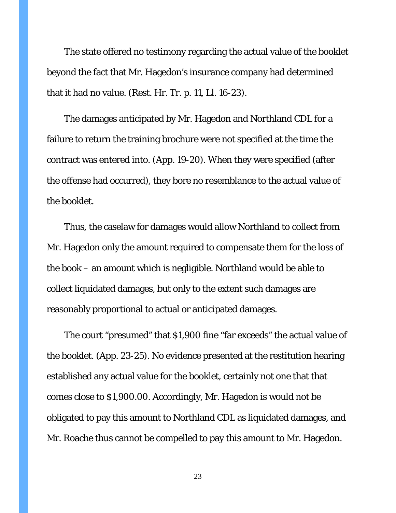The state offered no testimony regarding the actual value of the booklet beyond the fact that Mr. Hagedon's insurance company had determined that it had no value. (Rest. Hr. Tr. p. 11, Ll. 16-23).

The damages anticipated by Mr. Hagedon and Northland CDL for a failure to return the training brochure were not specified at the time the contract was entered into. (App. 19-20). When they were specified (after the offense had occurred), they bore no resemblance to the actual value of the booklet.

Thus, the caselaw for damages would allow Northland to collect from Mr. Hagedon only the amount required to compensate them for the loss of the book – an amount which is negligible. Northland would be able to collect liquidated damages, but only to the extent such damages are reasonably proportional to actual or anticipated damages.

The court "presumed" that \$1,900 fine "far exceeds" the actual value of the booklet. (App. 23-25). No evidence presented at the restitution hearing established any actual value for the booklet, certainly not one that that comes close to \$1,900.00. Accordingly, Mr. Hagedon is would not be obligated to pay this amount to Northland CDL as liquidated damages, and Mr. Roache thus cannot be compelled to pay this amount to Mr. Hagedon.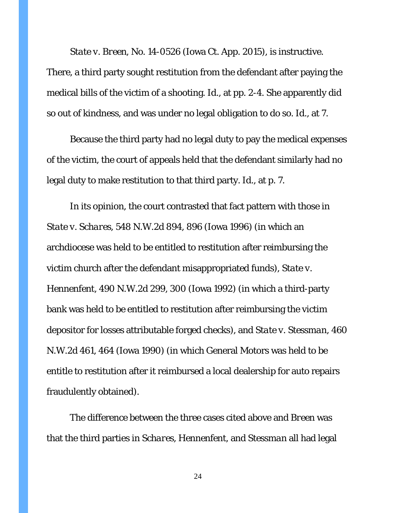*State v. Breen*, No. 14-0526 (Iowa Ct. App. 2015), is instructive.

There, a third party sought restitution from the defendant after paying the medical bills of the victim of a shooting. *Id*., at pp. 2-4. She apparently did so out of kindness, and was under no legal obligation to do so. *Id*., at 7.

Because the third party had no legal duty to pay the medical expenses of the victim, the court of appeals held that the defendant similarly had no legal duty to make restitution to that third party. *Id*., at p. 7.

In its opinion, the court contrasted that fact pattern with those in *State v. Schares*, 548 N.W.2d 894, 896 (Iowa 1996) (in which an archdiocese was held to be entitled to restitution after reimbursing the victim church after the defendant misappropriated funds), *State v. Hennenfent*, 490 N.W.2d 299, 300 (Iowa 1992) (in which a third-party bank was held to be entitled to restitution after reimbursing the victim depositor for losses attributable forged checks), and *State v. Stessman*, 460 N.W.2d 461, 464 (Iowa 1990) (in which General Motors was held to be entitle to restitution after it reimbursed a local dealership for auto repairs fraudulently obtained).

The difference between the three cases cited above and *Breen* was that the third parties in *Schares*, *Hennenfent*, and *Stessman* all had legal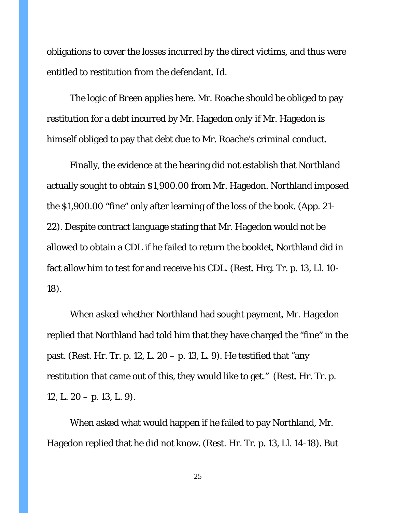obligations to cover the losses incurred by the direct victims, and thus were entitled to restitution from the defendant. *Id*.

The logic of *Breen* applies here. Mr. Roache should be obliged to pay restitution for a debt incurred by Mr. Hagedon *only if* Mr. Hagedon is himself obliged to pay that debt due to Mr. Roache's criminal conduct.

Finally, the evidence at the hearing did not establish that Northland actually sought to obtain \$1,900.00 from Mr. Hagedon. Northland imposed the \$1,900.00 "fine" only after learning of the loss of the book. (App. 21- 22). Despite contract language stating that Mr. Hagedon would not be allowed to obtain a CDL if he failed to return the booklet, Northland did in fact allow him to test for and receive his CDL. (Rest. Hrg. Tr. p. 13, Ll. 10- 18).

When asked whether Northland had sought payment, Mr. Hagedon replied that Northland had told him that they have charged the "fine" in the past. (Rest. Hr. Tr. p. 12, L. 20 – p. 13, L. 9). He testified that "any restitution that came out of this, they would like to get." (Rest. Hr. Tr. p. 12, L.  $20 - p$ . 13, L. 9).

When asked what would happen if he failed to pay Northland, Mr. Hagedon replied that he did not know. (Rest. Hr. Tr. p. 13, Ll. 14-18). But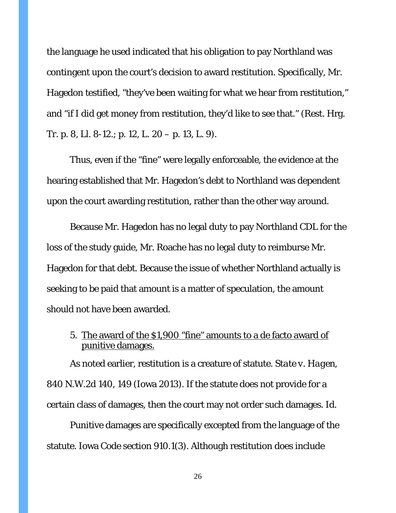the language he used indicated that his obligation to pay Northland was contingent upon the court's decision to award restitution. Specifically, Mr. Hagedon testified, "they've been waiting for what we hear from restitution," and "if I did get money from restitution, they'd like to see that." (Rest. Hrg. Tr. p. 8, Ll. 8-12.; p. 12, L. 20 – p. 13, L. 9).

Thus, even if the "fine" were legally enforceable, the evidence at the hearing established that Mr. Hagedon's debt to Northland was dependent upon the court awarding restitution, rather than the other way around.

Because Mr. Hagedon has no legal duty to pay Northland CDL for the loss of the study guide, Mr. Roache has no legal duty to reimburse Mr. Hagedon for that debt. Because the issue of whether Northland actually is seeking to be paid that amount is a matter of speculation, the amount should not have been awarded.

5. The award of the \$1,900 "fine" amounts to a de facto award of punitive damages.

As noted earlier, restitution is a creature of statute. *State v. Hagen*, 840 N.W.2d 140, 149 (Iowa 2013). If the statute does not provide for a certain class of damages, then the court may not order such damages. *Id*.

Punitive damages are specifically excepted from the language of the statute. Iowa Code section 910.1(3). Although restitution does include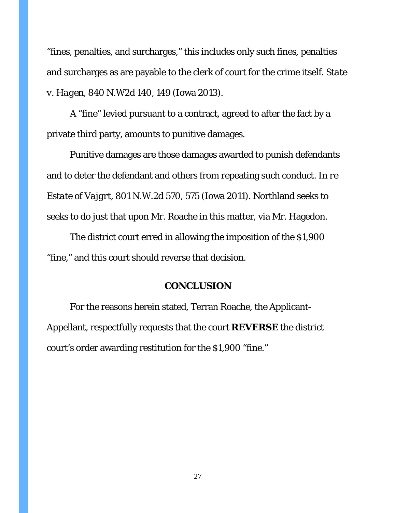"fines, penalties, and surcharges," this includes only such fines, penalties and surcharges as are payable to the clerk of court for the crime itself. *State v. Hagen*, 840 N.W2d 140, 149 (Iowa 2013).

A "fine" levied pursuant to a contract, agreed to after the fact by a private third party, amounts to punitive damages.

Punitive damages are those damages awarded to punish defendants and to deter the defendant and others from repeating such conduct. *In re Estate of Vajgrt*, 801 N.W.2d 570, 575 (Iowa 2011). Northland seeks to seeks to do just that upon Mr. Roache in this matter, via Mr. Hagedon.

The district court erred in allowing the imposition of the \$1,900 "fine," and this court should reverse that decision.

#### **CONCLUSION**

For the reasons herein stated, Terran Roache, the Applicant-Appellant, respectfully requests that the court **REVERSE** the district court's order awarding restitution for the \$1,900 "fine."